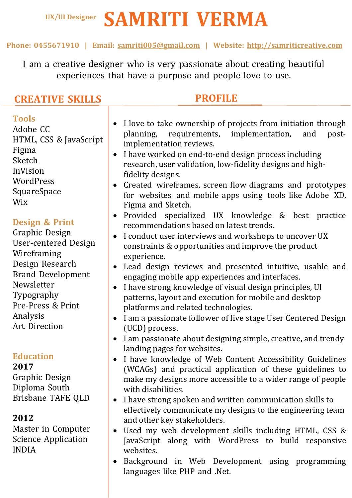# **SAMRITI VERMA UX/UI Designer**

### **Phone: 0455671910 | Email: samriti005@gmail.com | Website: http://samriticreative.com**

I am a creative designer who is very passionate about creating beautiful experiences that have a purpose and people love to use.

# **CREATIVE SKILLS**

# **PROFILE**

Ξ

 **Tools** Adobe CC HTML, CSS & JavaScript Figma Sketch InVision **WordPress SquareSpace** Wix

## **Design & Print**

Graphic Design User-centered Design Wireframing Design Research Brand Development Newsletter Typography Pre-Press & Print Analysis Art Direction

## **Education**

**2017**

Graphic Design Diploma South Brisbane TAFE QLD

## **2012**

Master in Computer Science Application INDIA

- I love to take ownership of projects from initiation through planning, requirements, implementation, and postimplementation reviews.
- I have worked on end-to-end design process including research, user validation, low-fidelity designs and highfidelity designs.
- Created wireframes, screen flow diagrams and prototypes for websites and mobile apps using tools like Adobe XD, Figma and Sketch.
- Provided specialized UX knowledge & best practice recommendations based on latest trends.
- I conduct user interviews and workshops to uncover UX constraints & opportunities and improve the product experience.
- Lead design reviews and presented intuitive, usable and engaging mobile app experiences and interfaces.
- I have strong knowledge of visual design principles, UI patterns, layout and execution for mobile and desktop platforms and related technologies.
- I am a passionate follower of five stage User Centered Design (UCD) process.
- I am passionate about designing simple, creative, and trendy landing pages for websites.
- I have knowledge of Web Content Accessibility Guidelines (WCAGs) and practical application of these guidelines to make my designs more accessible to a wider range of people with disabilities.
- I have strong spoken and written communication skills to effectively communicate my designs to the engineering team and other key stakeholders.
- Used my web development skills including HTML, CSS & JavaScript along with WordPress to build responsive websites.
- Background in Web Development using programming languages like PHP and .Net.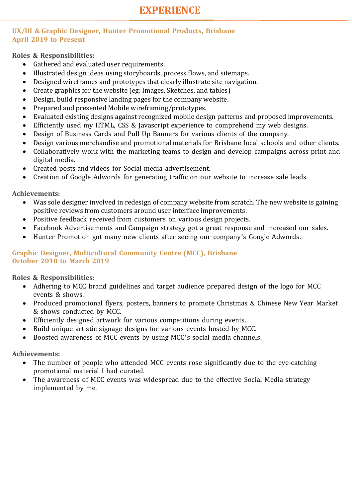# **EXPERIENCE**

#### **UX/UI & Graphic Designer, Hunter Promotional Products, Brisbane April 2019 to Present**

**Roles & Responsibilities:**

- Gathered and evaluated user requirements.
- Illustrated design ideas using storyboards, process flows, and sitemaps.
- Designed wireframes and prototypes that clearly illustrate site navigation.
- Create graphics for the website  $(eg: Images, Sketches, and tables)$
- Design, build responsive landing pages for the company website.
- Prepared and presented Mobile wireframing/prototypes.
- Evaluated existing designs against recognized mobile design patterns and proposed improvements.
- Efficiently used my HTML, CSS & Javascript experience to comprehend my web designs.
- Design of Business Cards and Pull Up Banners for various clients of the company.
- Design various merchandise and promotional materials for Brisbane local schools and other clients.
- Collaboratively work with the marketing teams to design and develop campaigns across print and digital media.
- Created posts and videos for Social media advertisement.
- Creation of Google Adwords for generating traffic on our website to increase sale leads.

**Achievements:**

- Was sole designer involved in redesign of company website from scratch. The new website is gaining positive reviews from customers around user interface improvements.
- Positive feedback received from customers on various design projects.
- Facebook Advertisements and Campaign strategy got a great response and increased our sales.
- Hunter Promotion got many new clients after seeing our company's Google Adwords.

#### **Graphic Designer, Multicultural Community Centre (MCC), Brisbane October 2018 to March 2019**

**Roles & Responsibilities:**

- Adhering to MCC brand guidelines and target audience prepared design of the logo for MCC events & shows.
- Produced promotional flyers, posters, banners to promote Christmas & Chinese New Year Market & shows conducted by MCC.
- Efficiently designed artwork for various competitions during events.
- Build unique artistic signage designs for various events hosted by MCC.
- Boosted awareness of MCC events by using MCC's social media channels.

**Achievements:**

- The number of people who attended MCC events rose significantly due to the eye-catching promotional material I had curated.
- The awareness of MCC events was widespread due to the effective Social Media strategy implemented by me.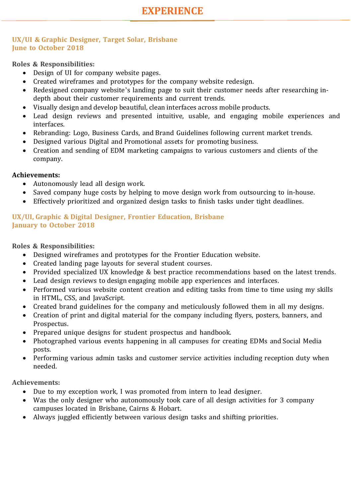#### **UX/UI & Graphic Designer, Target Solar, Brisbane June to October 2018**

#### **Roles & Responsibilities:**

- Design of UI for company website pages.
- Created wireframes and prototypes for the company website redesign.
- Redesigned company website's landing page to suit their customer needs after researching indepth about their customer requirements and current trends.
- Visually design and develop beautiful, clean interfaces across mobile products.
- Lead design reviews and presented intuitive, usable, and engaging mobile experiences and interfaces.
- Rebranding: Logo, Business Cards, and Brand Guidelines following current market trends.
- Designed various Digital and Promotional assets for promoting business.
- Creation and sending of EDM marketing campaigns to various customers and clients of the company.

#### **Achievements:**

- Autonomously lead all design work.
- Saved company huge costs by helping to move design work from outsourcing to in-house.
- Effectively prioritized and organized design tasks to finish tasks under tight deadlines.

#### **UX/UI, Graphic & Digital Designer, Frontier Education, Brisbane January to October 2018**

#### **Roles & Responsibilities:**

- Designed wireframes and prototypes for the Frontier Education website.
- Created landing page layouts for several student courses.
- Provided specialized UX knowledge & best practice recommendations based on the latest trends.
- Lead design reviews to design engaging mobile app experiences and interfaces.
- Performed various website content creation and editing tasks from time to time using my skills in HTML, CSS, and JavaScript.
- Created brand guidelines for the company and meticulously followed them in all my designs.
- Creation of print and digital material for the company including flyers, posters, banners, and Prospectus.
- Prepared unique designs for student prospectus and handbook.
- Photographed various events happening in all campuses for creating EDMs and Social Media posts.
- Performing various admin tasks and customer service activities including reception duty when needed.

#### **Achievements:**

- Due to my exception work, I was promoted from intern to lead designer.
- Was the only designer who autonomously took care of all design activities for 3 company campuses located in Brisbane, Cairns & Hobart.
- Always juggled efficiently between various design tasks and shifting priorities.